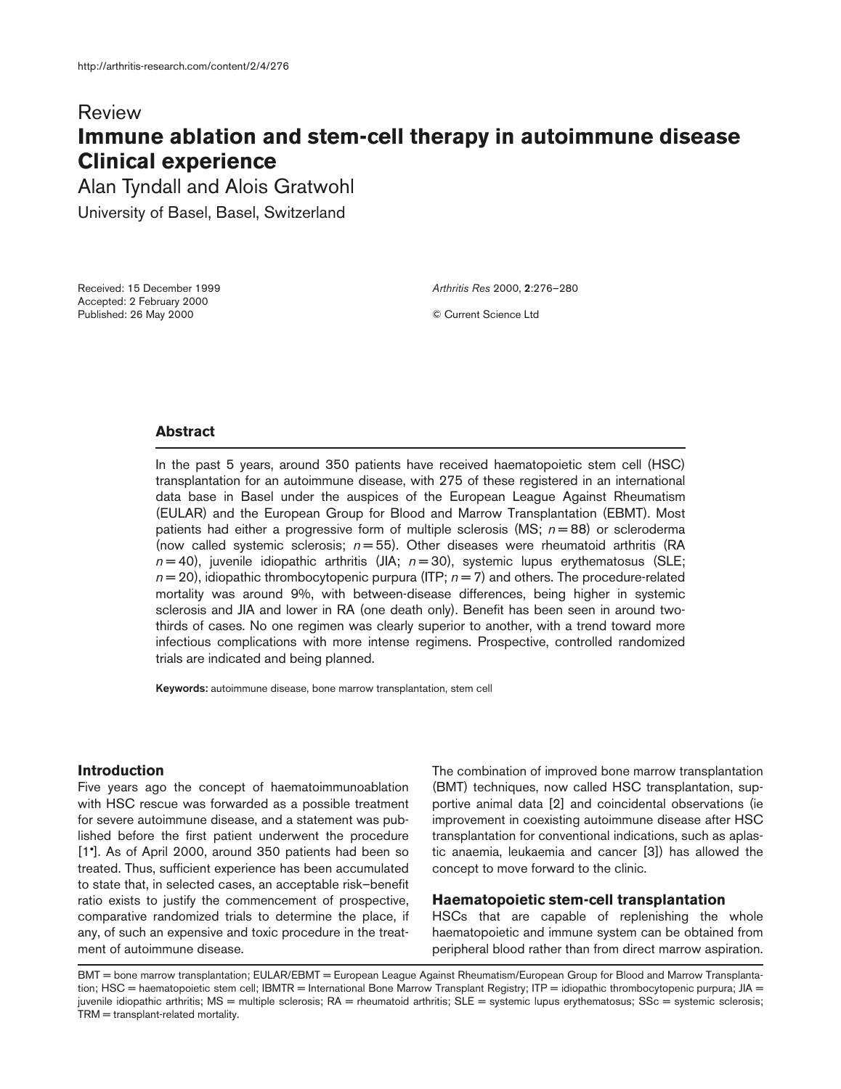# Review **Immune ablation and stem-cell therapy in autoimmune disease Clinical experience**

Alan Tyndall and Alois Gratwohl

University of Basel, Basel, Switzerland

Received: 15 December 1999 Accepted: 2 February 2000 Published: 26 May 2000

*Arthritis Res* 2000, **2**:276–280

© Current Science Ltd

# **Abstract**

In the past 5 years, around 350 patients have received haematopoietic stem cell (HSC) transplantation for an autoimmune disease, with 275 of these registered in an international data base in Basel under the auspices of the European League Against Rheumatism (EULAR) and the European Group for Blood and Marrow Transplantation (EBMT). Most patients had either a progressive form of multiple sclerosis (MS; *n* = 88) or scleroderma (now called systemic sclerosis; *n* = 55). Other diseases were rheumatoid arthritis (RA *n* = 40), juvenile idiopathic arthritis (JIA; *n* = 30), systemic lupus erythematosus (SLE;  $n = 20$ , idiopathic thrombocytopenic purpura (ITP;  $n = 7$ ) and others. The procedure-related mortality was around 9%, with between-disease differences, being higher in systemic sclerosis and JIA and lower in RA (one death only). Benefit has been seen in around twothirds of cases. No one regimen was clearly superior to another, with a trend toward more infectious complications with more intense regimens. Prospective, controlled randomized trials are indicated and being planned.

**Keywords:** autoimmune disease, bone marrow transplantation, stem cell

# **Introduction**

Five years ago the concept of haematoimmunoablation with HSC rescue was forwarded as a possible treatment for severe autoimmune disease, and a statement was published before the first patient underwent the procedure [1•]. As of April 2000, around 350 patients had been so treated. Thus, sufficient experience has been accumulated to state that, in selected cases, an acceptable risk–benefit ratio exists to justify the commencement of prospective, comparative randomized trials to determine the place, if any, of such an expensive and toxic procedure in the treatment of autoimmune disease.

The combination of improved bone marrow transplantation (BMT) techniques, now called HSC transplantation, supportive animal data [2] and coincidental observations (ie improvement in coexisting autoimmune disease after HSC transplantation for conventional indications, such as aplastic anaemia, leukaemia and cancer [3]) has allowed the concept to move forward to the clinic.

# **Haematopoietic stem-cell transplantation**

HSCs that are capable of replenishing the whole haematopoietic and immune system can be obtained from peripheral blood rather than from direct marrow aspiration.

BMT = bone marrow transplantation; EULAR/EBMT = European League Against Rheumatism/European Group for Blood and Marrow Transplantation; HSC = haematopoietic stem cell; IBMTR = International Bone Marrow Transplant Registry; ITP = idiopathic thrombocytopenic purpura; JIA = juvenile idiopathic arthritis; MS = multiple sclerosis; RA = rheumatoid arthritis; SLE = systemic lupus erythematosus; SSc = systemic sclerosis; TRM = transplant-related mortality.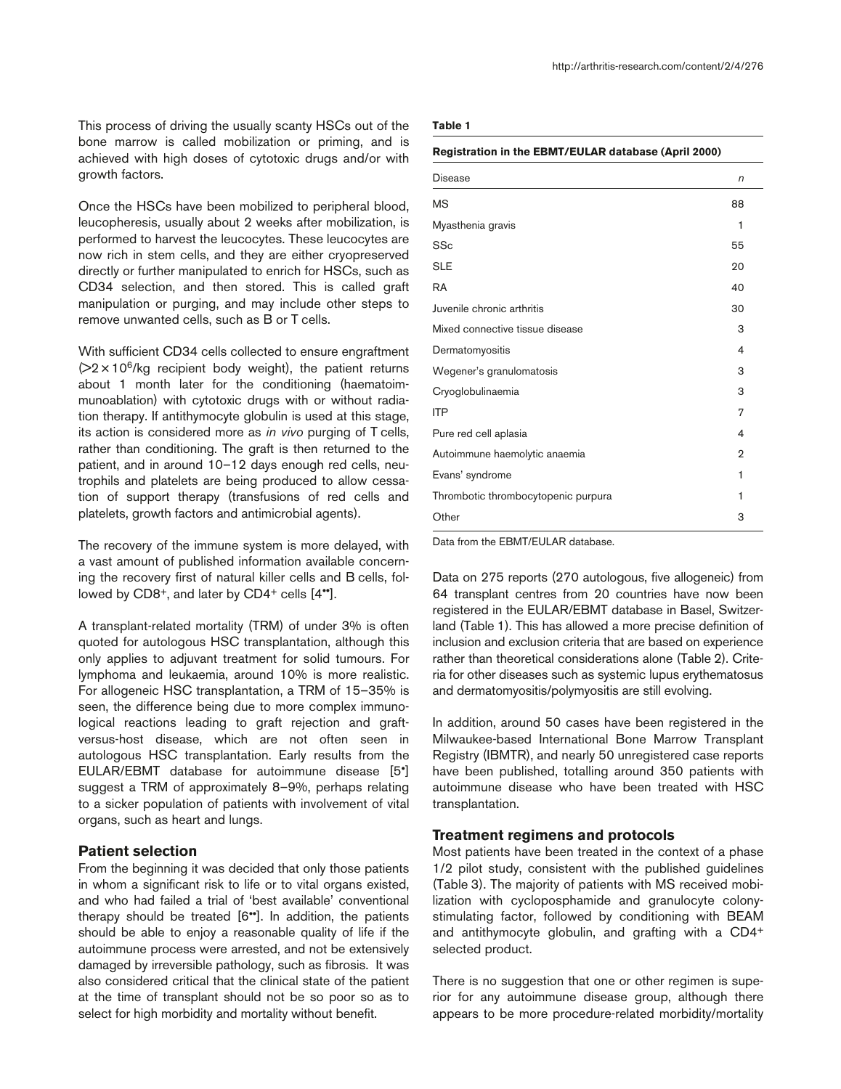This process of driving the usually scanty HSCs out of the bone marrow is called mobilization or priming, and is achieved with high doses of cytotoxic drugs and/or with growth factors.

Once the HSCs have been mobilized to peripheral blood, leucopheresis, usually about 2 weeks after mobilization, is performed to harvest the leucocytes. These leucocytes are now rich in stem cells, and they are either cryopreserved directly or further manipulated to enrich for HSCs, such as CD34 selection, and then stored. This is called graft manipulation or purging, and may include other steps to remove unwanted cells, such as B or T cells.

With sufficient CD34 cells collected to ensure engraftment  $(22 \times 10^6)$  recipient body weight), the patient returns about 1 month later for the conditioning (haematoimmunoablation) with cytotoxic drugs with or without radiation therapy. If antithymocyte globulin is used at this stage, its action is considered more as *in vivo* purging of T cells, rather than conditioning. The graft is then returned to the patient, and in around 10–12 days enough red cells, neutrophils and platelets are being produced to allow cessation of support therapy (transfusions of red cells and platelets, growth factors and antimicrobial agents).

The recovery of the immune system is more delayed, with a vast amount of published information available concerning the recovery first of natural killer cells and B cells, followed by CD8<sup>+</sup>, and later by CD4<sup>+</sup> cells [4<sup>\*\*</sup>].

A transplant-related mortality (TRM) of under 3% is often quoted for autologous HSC transplantation, although this only applies to adjuvant treatment for solid tumours. For lymphoma and leukaemia, around 10% is more realistic. For allogeneic HSC transplantation, a TRM of 15–35% is seen, the difference being due to more complex immunological reactions leading to graft rejection and graftversus-host disease, which are not often seen in autologous HSC transplantation. Early results from the EULAR/EBMT database for autoimmune disease [5•] suggest a TRM of approximately 8–9%, perhaps relating to a sicker population of patients with involvement of vital organs, such as heart and lungs.

# **Patient selection**

From the beginning it was decided that only those patients in whom a significant risk to life or to vital organs existed, and who had failed a trial of 'best available' conventional therapy should be treated [6••]. In addition, the patients should be able to enjoy a reasonable quality of life if the autoimmune process were arrested, and not be extensively damaged by irreversible pathology, such as fibrosis. It was also considered critical that the clinical state of the patient at the time of transplant should not be so poor so as to select for high morbidity and mortality without benefit.

# **Table 1**

| <b>Disease</b>                      | $\sqrt{n}$     |
|-------------------------------------|----------------|
| <b>MS</b>                           | 88             |
| Myasthenia gravis                   | 1              |
| <b>SSc</b>                          | 55             |
| <b>SLE</b>                          | 20             |
| <b>RA</b>                           | 40             |
| Juvenile chronic arthritis          | 30             |
| Mixed connective tissue disease     | 3              |
| Dermatomyositis                     | 4              |
| Wegener's granulomatosis            | 3              |
| Cryoglobulinaemia                   | 3              |
| <b>ITP</b>                          | 7              |
| Pure red cell aplasia               | 4              |
| Autoimmune haemolytic anaemia       | $\overline{2}$ |
| Evans' syndrome                     | 1              |
| Thrombotic thrombocytopenic purpura | 1              |
| Other                               | 3              |

**Registration in the EBMT/EULAR database (April 2000)**

Data from the EBMT/EULAR database.

Data on 275 reports (270 autologous, five allogeneic) from 64 transplant centres from 20 countries have now been registered in the EULAR/EBMT database in Basel, Switzerland (Table 1). This has allowed a more precise definition of inclusion and exclusion criteria that are based on experience rather than theoretical considerations alone (Table 2). Criteria for other diseases such as systemic lupus erythematosus and dermatomyositis/polymyositis are still evolving.

In addition, around 50 cases have been registered in the Milwaukee-based International Bone Marrow Transplant Registry (IBMTR), and nearly 50 unregistered case reports have been published, totalling around 350 patients with autoimmune disease who have been treated with HSC transplantation.

# **Treatment regimens and protocols**

Most patients have been treated in the context of a phase 1/2 pilot study, consistent with the published guidelines (Table 3). The majority of patients with MS received mobilization with cycloposphamide and granulocyte colonystimulating factor, followed by conditioning with BEAM and antithymocyte globulin, and grafting with a CD4+ selected product.

There is no suggestion that one or other regimen is superior for any autoimmune disease group, although there appears to be more procedure-related morbidity/mortality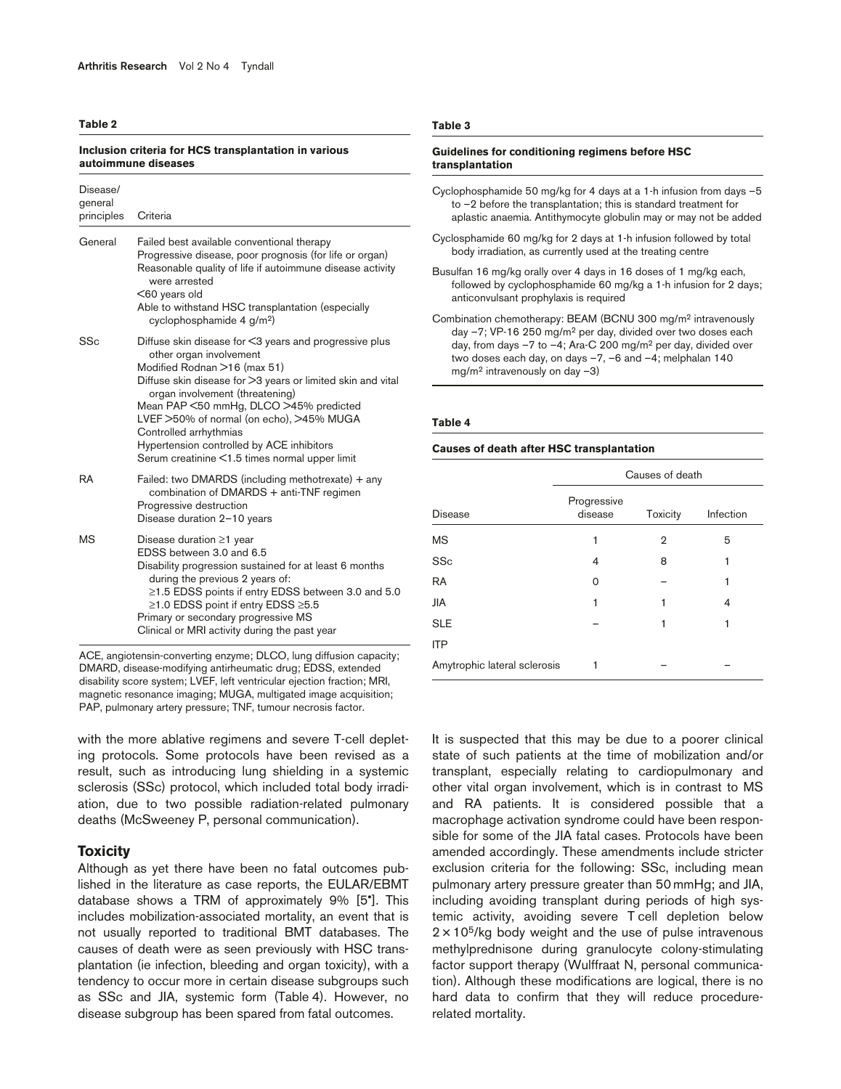### **Table 2**

### **Inclusion criteria for HCS transplantation in various autoimmune diseases**

| Disease/<br>general<br>principles | Criteria                                                                                                                                                                                                                                                                                                                                                                                                                           |
|-----------------------------------|------------------------------------------------------------------------------------------------------------------------------------------------------------------------------------------------------------------------------------------------------------------------------------------------------------------------------------------------------------------------------------------------------------------------------------|
| General                           | Failed best available conventional therapy<br>Progressive disease, poor prognosis (for life or organ)<br>Reasonable quality of life if autoimmune disease activity<br>were arrested<br>$<$ 60 years old<br>Able to withstand HSC transplantation (especially<br>cyclophosphamide 4 g/m <sup>2</sup> )                                                                                                                              |
| SSc                               | Diffuse skin disease for <3 years and progressive plus<br>other organ involvement<br>Modified Rodnan >16 (max 51)<br>Diffuse skin disease for >3 years or limited skin and vital<br>organ involvement (threatening)<br>Mean PAP <50 mmHg, DLCO >45% predicted<br>LVEF >50% of normal (on echo), >45% MUGA<br>Controlled arrhythmias<br>Hypertension controlled by ACE inhibitors<br>Serum creatinine <1.5 times normal upper limit |
| <b>RA</b>                         | Failed: two DMARDS (including methotrexate) + any<br>combination of DMARDS + anti-TNF regimen<br>Progressive destruction<br>Disease duration 2-10 years                                                                                                                                                                                                                                                                            |
| <b>MS</b>                         | Disease duration $\geq 1$ year<br>EDSS between 3.0 and 6.5<br>Disability progression sustained for at least 6 months<br>during the previous 2 years of:<br>≥1.5 EDSS points if entry EDSS between 3.0 and 5.0<br>≥1.0 EDSS point if entry EDSS ≥5.5<br>Primary or secondary progressive MS<br>Clinical or MRI activity during the past year                                                                                        |

ACE, angiotensin-converting enzyme; DLCO, lung diffusion capacity; DMARD, disease-modifying antirheumatic drug; EDSS, extended disability score system; LVEF, left ventricular ejection fraction; MRI, magnetic resonance imaging; MUGA, multigated image acquisition; PAP, pulmonary artery pressure; TNF, tumour necrosis factor.

with the more ablative regimens and severe T-cell depleting protocols. Some protocols have been revised as a result, such as introducing lung shielding in a systemic sclerosis (SSc) protocol, which included total body irradiation, due to two possible radiation-related pulmonary deaths (McSweeney P, personal communication).

# **Toxicity**

Although as yet there have been no fatal outcomes published in the literature as case reports, the EULAR/EBMT database shows a TRM of approximately 9% [5•]. This includes mobilization-associated mortality, an event that is not usually reported to traditional BMT databases. The causes of death were as seen previously with HSC transplantation (ie infection, bleeding and organ toxicity), with a tendency to occur more in certain disease subgroups such as SSc and JIA, systemic form (Table 4). However, no disease subgroup has been spared from fatal outcomes.

#### **Table 3**

### **Guidelines for conditioning regimens before HSC transplantation**

- Cyclophosphamide 50 mg/kg for 4 days at a 1-h infusion from days –5 to –2 before the transplantation; this is standard treatment for aplastic anaemia. Antithymocyte globulin may or may not be added
- Cyclosphamide 60 mg/kg for 2 days at 1-h infusion followed by total body irradiation, as currently used at the treating centre
- Busulfan 16 mg/kg orally over 4 days in 16 doses of 1 mg/kg each, followed by cyclophosphamide 60 mg/kg a 1-h infusion for 2 days; anticonvulsant prophylaxis is required
- Combination chemotherapy: BEAM (BCNU 300 mg/m2 intravenously day –7; VP-16 250 mg/m2 per day, divided over two doses each day, from days  $-7$  to  $-4$ ; Ara-C 200 mg/m<sup>2</sup> per day, divided over two doses each day, on days –7, –6 and –4; melphalan 140 mg/m<sup>2</sup> intravenously on day  $-3$ )

#### **Table 4**

#### **Causes of death after HSC transplantation**

|                              | Causes of death        |          |           |  |
|------------------------------|------------------------|----------|-----------|--|
| <b>Disease</b>               | Progressive<br>disease | Toxicity | Infection |  |
| MS                           |                        | 2        | 5         |  |
| SSc                          | 4                      | 8        |           |  |
| <b>RA</b>                    | 0                      |          |           |  |
| JIA                          | 1                      |          | 4         |  |
| <b>SLE</b>                   |                        |          |           |  |
| ITP                          |                        |          |           |  |
| Amytrophic lateral sclerosis |                        |          |           |  |

It is suspected that this may be due to a poorer clinical state of such patients at the time of mobilization and/or transplant, especially relating to cardiopulmonary and other vital organ involvement, which is in contrast to MS and RA patients. It is considered possible that a macrophage activation syndrome could have been responsible for some of the JIA fatal cases. Protocols have been amended accordingly. These amendments include stricter exclusion criteria for the following: SSc, including mean pulmonary artery pressure greater than 50 mmHg; and JIA, including avoiding transplant during periods of high systemic activity, avoiding severe T cell depletion below  $2 \times 10^5$ /kg body weight and the use of pulse intravenous methylprednisone during granulocyte colony-stimulating factor support therapy (Wulffraat N, personal communication). Although these modifications are logical, there is no hard data to confirm that they will reduce procedurerelated mortality.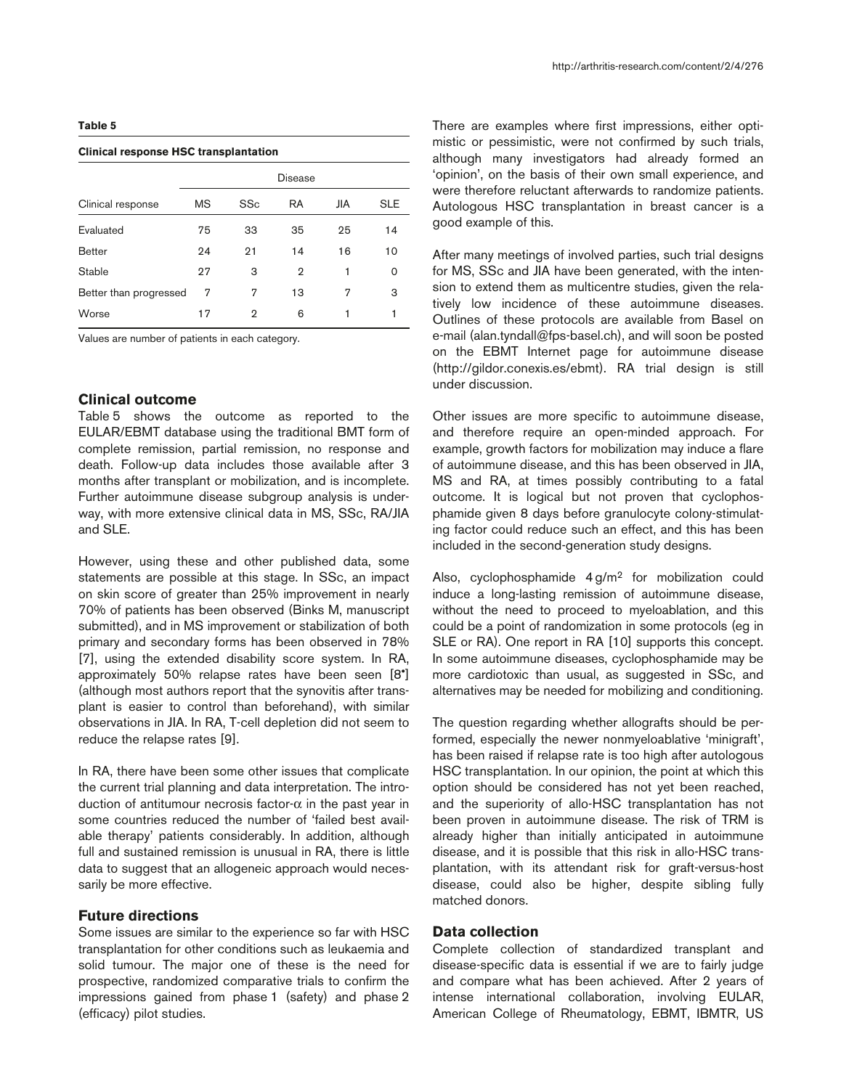### **Table 5**

### **Clinical response HSC transplantation**

|                        | <b>Disease</b> |                |                |     |            |
|------------------------|----------------|----------------|----------------|-----|------------|
| Clinical response      | <b>MS</b>      | <b>SSc</b>     | <b>RA</b>      | JIA | <b>SLE</b> |
| Evaluated              | 75             | 33             | 35             | 25  | 14         |
| <b>Better</b>          | 24             | 21             | 14             | 16  | 10         |
| Stable                 | 27             | 3              | $\overline{2}$ | 1   | 0          |
| Better than progressed | 7              | 7              | 13             | 7   | 3          |
| Worse                  | 17             | $\overline{2}$ | 6              | 1   |            |

Values are number of patients in each category.

# **Clinical outcome**

Table 5 shows the outcome as reported to the EULAR/EBMT database using the traditional BMT form of complete remission, partial remission, no response and death. Follow-up data includes those available after 3 months after transplant or mobilization, and is incomplete. Further autoimmune disease subgroup analysis is underway, with more extensive clinical data in MS, SSc, RA/JIA and SLE.

However, using these and other published data, some statements are possible at this stage. In SSc, an impact on skin score of greater than 25% improvement in nearly 70% of patients has been observed (Binks M, manuscript submitted), and in MS improvement or stabilization of both primary and secondary forms has been observed in 78% [7], using the extended disability score system. In RA, approximately 50% relapse rates have been seen [8•] (although most authors report that the synovitis after transplant is easier to control than beforehand), with similar observations in JIA. In RA, T-cell depletion did not seem to reduce the relapse rates [9].

In RA, there have been some other issues that complicate the current trial planning and data interpretation. The introduction of antitumour necrosis factor- $\alpha$  in the past year in some countries reduced the number of 'failed best available therapy' patients considerably. In addition, although full and sustained remission is unusual in RA, there is little data to suggest that an allogeneic approach would necessarily be more effective.

# **Future directions**

Some issues are similar to the experience so far with HSC transplantation for other conditions such as leukaemia and solid tumour. The major one of these is the need for prospective, randomized comparative trials to confirm the impressions gained from phase 1 (safety) and phase 2 (efficacy) pilot studies.

There are examples where first impressions, either optimistic or pessimistic, were not confirmed by such trials, although many investigators had already formed an 'opinion', on the basis of their own small experience, and were therefore reluctant afterwards to randomize patients. Autologous HSC transplantation in breast cancer is a good example of this.

After many meetings of involved parties, such trial designs for MS, SSc and JIA have been generated, with the intension to extend them as multicentre studies, given the relatively low incidence of these autoimmune diseases. Outlines of these protocols are available from Basel on e-mail (alan.tyndall@fps-basel.ch), and will soon be posted on the EBMT Internet page for autoimmune disease (http://gildor.conexis.es/ebmt). RA trial design is still under discussion.

Other issues are more specific to autoimmune disease, and therefore require an open-minded approach. For example, growth factors for mobilization may induce a flare of autoimmune disease, and this has been observed in JIA, MS and RA, at times possibly contributing to a fatal outcome. It is logical but not proven that cyclophosphamide given 8 days before granulocyte colony-stimulating factor could reduce such an effect, and this has been included in the second-generation study designs.

Also, cyclophosphamide  $4 \text{ g/m}^2$  for mobilization could induce a long-lasting remission of autoimmune disease, without the need to proceed to myeloablation, and this could be a point of randomization in some protocols (eg in SLE or RA). One report in RA [10] supports this concept. In some autoimmune diseases, cyclophosphamide may be more cardiotoxic than usual, as suggested in SSc, and alternatives may be needed for mobilizing and conditioning.

The question regarding whether allografts should be performed, especially the newer nonmyeloablative 'minigraft', has been raised if relapse rate is too high after autologous HSC transplantation. In our opinion, the point at which this option should be considered has not yet been reached, and the superiority of allo-HSC transplantation has not been proven in autoimmune disease. The risk of TRM is already higher than initially anticipated in autoimmune disease, and it is possible that this risk in allo-HSC transplantation, with its attendant risk for graft-versus-host disease, could also be higher, despite sibling fully matched donors.

# **Data collection**

Complete collection of standardized transplant and disease-specific data is essential if we are to fairly judge and compare what has been achieved. After 2 years of intense international collaboration, involving EULAR, American College of Rheumatology, EBMT, IBMTR, US